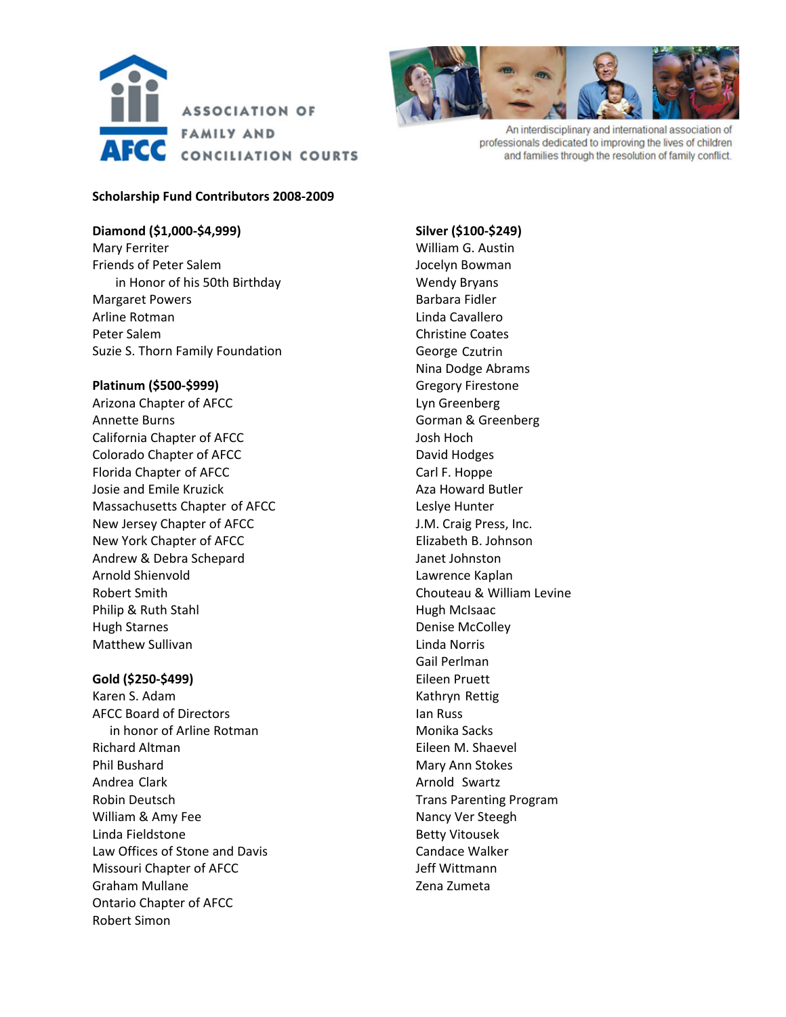



An interdisciplinary and international association of professionals dedicated to improving the lives of children and families through the resolution of family conflict.

## **Scholarship Fund Contributors 2008‐2009**

## **Diamond (\$1,000‐\$4,999)**

Mary Ferriter Friends of Peter Salem in Honor of his 50th Birthday Margaret Powers Arline Rotman Peter Salem Suzie S. Thorn Family Foundation

## **Platinum (\$500‐\$999)**

Arizona Chapter of AFCC Annette Burns California Chapter of AFCC Colorado Chapter of AFCC Florida Chapter of AFCC Josie and Emile Kruzick Massachusetts Chapter of AFCC New Jersey Chapter of AFCC New York Chapter of AFCC Andrew & Debra Schepard Arnold Shienvold Robert Smith Philip & Ruth Stahl Hugh Starnes Matthew Sullivan

#### **Gold (\$250‐\$499)**

Karen S. Adam AFCC Board of Directors in honor of Arline Rotman Richard Altman Phil Bushard Andrea Clark Robin Deutsch William & Amy Fee Linda Fieldstone Law Offices of Stone and Davis Missouri Chapter of AFCC Graham Mullane Ontario Chapter of AFCC Robert Simon

**Silver (\$100‐\$249)** William G. Austin Jocelyn Bowman Wendy Bryans Barbara Fidler Linda Cavallero Christine Coates George Czutrin Nina Dodge Abrams Gregory Firestone Lyn Greenberg Gorman & Greenberg Josh Hoch David Hodges Carl F. Hoppe Aza Howard Butler Leslye Hunter J.M. Craig Press, Inc. Elizabeth B. Johnson Janet Johnston Lawrence Kaplan Chouteau & William Levine Hugh McIsaac Denise McColley Linda Norris Gail Perlman Eileen Pruett Kathryn Rettig Ian Russ Monika Sacks Eileen M. Shaevel Mary Ann Stokes Arnold Swartz Trans Parenting Program Nancy Ver Steegh Betty Vitousek Candace Walker Jeff Wittmann Zena Zumeta